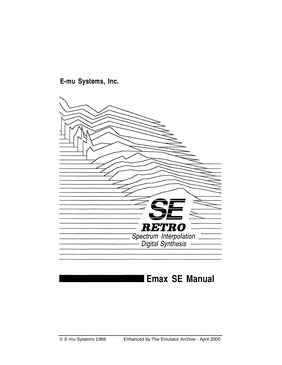**RETRO** Spectrum Interpolation<br>
Digital Synthesis

## E-mu Systems, Inc.

## **Emax SE Manual**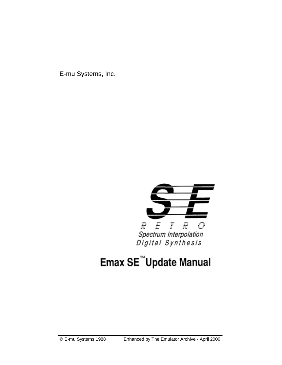E-mu Systems, Inc.



# Emax SE<sup>™</sup>Update Manual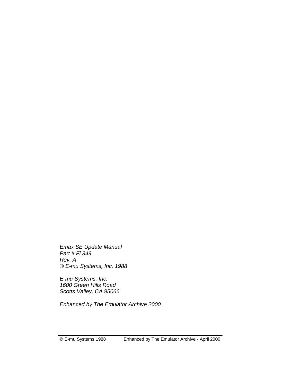*Emax SE Update Manual Part # Fl 349 Rev. A © E-mu Systems, Inc. 1988* 

*E-mu Systems, Inc. 1600 Green Hills Road Scotts Valley, CA 95066* 

*Enhanced by The Emulator Archive 2000*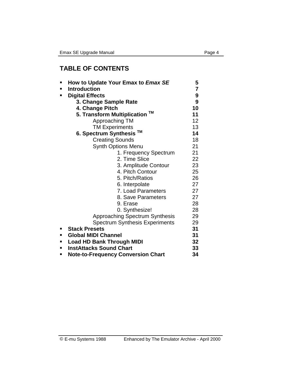## **TABLE OF CONTENTS**

| ٠ | How to Update Your Emax to Emax SE        | 5                       |
|---|-------------------------------------------|-------------------------|
| п | <b>Introduction</b>                       | $\overline{\mathbf{7}}$ |
| п | <b>Digital Effects</b>                    | 9                       |
|   | 3. Change Sample Rate                     | 9                       |
|   | 4. Change Pitch                           | 10                      |
|   | 5. Transform Multiplication ™             | 11                      |
|   | Approaching TM                            | 12                      |
|   | <b>TM Experiments</b>                     | 13                      |
|   | 6. Spectrum Synthesis <sup>™</sup>        | 14                      |
|   | <b>Creating Sounds</b>                    | 18                      |
|   | <b>Synth Options Menu</b>                 | 21                      |
|   | 1. Frequency Spectrum                     | 21                      |
|   | 2. Time Slice                             | 22                      |
|   | 3. Amplitude Contour                      | 23                      |
|   | 4. Pitch Contour                          | 25                      |
|   | 5. Pitch/Ratios                           | 26                      |
|   | 6. Interpolate                            | 27                      |
|   | 7. Load Parameters                        | 27                      |
|   | 8. Save Parameters                        | 27                      |
|   | 9. Erase                                  | 28                      |
|   | 0. Synthesize!                            | 28                      |
|   | <b>Approaching Spectrum Synthesis</b>     | 29                      |
|   | <b>Spectrum Synthesis Experiments</b>     | 29                      |
| ٠ | <b>Stack Presets</b>                      | 31                      |
| п | <b>Global MIDI Channel</b>                | 31                      |
| ٠ | <b>Load HD Bank Through MIDI</b>          | 32                      |
| ٠ | <b>InstAttacks Sound Chart</b>            | 33                      |
| ■ | <b>Note-to-Frequency Conversion Chart</b> | 34                      |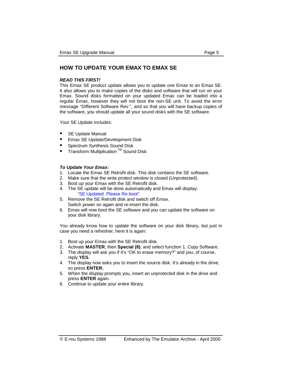#### **HOW TO UPDATE YOUR EMAX TO EMAX SE**

#### *READ THIS FIRST!*

This Emax SE product update allows you to update *one* Emax to an Emax SE. It also allows you to make copies of the disks and software that will run on your Emax. Sound disks formatted on your updated Emax can be loaded into a regular Emax, however they will not boot the non-SE unit. To avoid the error message "Different Software Rev.", and so that you will have backup copies of the software, you should update all your sound disks with the SE software.

Your SE Update includes:

- -SE Update Manual
- -Emax SE Update/Development Disk
- -Spectrum Synthesis Sound Disk
- -Transform Multiplication TM Sound Disk

#### *To Update Your Emax:*

- 1. Locate the Emax SE Retrofit disk. This disk contains the SE software.
- 2. Make sure that the write protect window is closed (Unprotected).
- 3. Boot up your Emax with the SE Retrofit disk.
- 4. The SE update will be done automatically and Emax will display: "SE Updated. Please Re-boot".
- 5. Remove the SE Retrofit disk and switch off Emax. Switch power on again and re-insert the disk.
- 6. Emax will now boot the SE software and you can update the software on your disk library.

You already know how to update the software on your disk library, but just in case you need a refresher, here it is again:

- 1. Boot up your Emax with the SE Retrofit disk.
- 2. Activate **MASTER**, then **Special (8)**, and select function 1. Copy Software.
- 3. The display will ask you if it's "OK to erase memory?" and you, of course, reply **YES.**
- 4. The display now asks you to insert the source disk. It's already in the drive, so press **ENTER.**
- 5. When the display prompts you, insert an unprotected disk in the drive and press **ENTER** again.
- 6. Continue to update your entire library.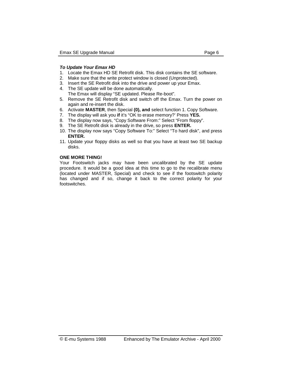#### *To Update Your Emax HD*

- 1. Locate the Emax HD SE Retrofit disk. This disk contains the SE software.
- 2. Make sure that the write protect window is closed (Unprotected).
- 3. Insert the SE Retrofit disk into the drive and power up your Emax.
- 4. The SE update will be done automatically. The Emax will display "SE updated. Please Re-boot".
- 5. Remove the SE Retrofit disk and switch off the Emax. Turn the power on again and re-insert the disk.
- 6. Activate **MASTER**, then Special **(0), and** select function 1. Copy Software.
- 7. The display will ask you **if** it's "OK to erase memory?' Press **YES.**
- 8. The display now says, "Copy Software From:" Select "From floppy".
- 9. The SE Retrofit disk is already in the drive, so press **ENTER.**
- 10. The display now says "Copy Software To:" Select "To hard disk", and press **ENTER.**
- 11. Update your floppy disks as well so that you have at least two SE backup disks.

#### **ONE MORE THING!**

Your Footswitch jacks may have been uncalibrated by the SE update procedure. It would be a good idea at this time to go to the recalibrate menu (located under MASTER, Special) and check to see if the footswitch polarity has changed and if so, change it back to the correct polarity for your footswitches.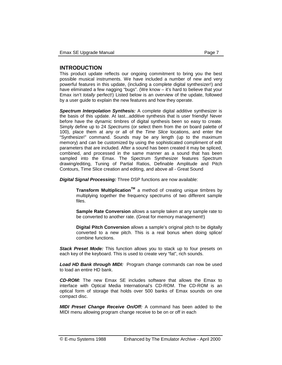This product update reflects our ongoing commitment to bring you the best possible musical instruments. We have included a number of new and very powerful features in this update, (including a complete digital synthesizer!) and have eliminated a few nagging "bugs". (We know – it's hard to believe that your Emax isn't *totally* perfect!) Listed below is an overview of the update, followed by a user guide to explain the new features and how they operate.

*Spectrum Interpolation Synthesis:* A complete digital additive synthesizer is the basis of this update. At Iast...additive synthesis that is user friendly! Never before have the dynamic timbres of digital synthesis been so easy to create. Simply define up to 24 *Spectrums* (or select them from the on board palette of 100), place them at any or all of the *Time Slice* locations, and enter the "Synthesize!" command. Sounds may be any length (up to the maximum memory) and can be customized by using the sophisticated compliment of edit parameters that are included. After a sound has been created it may be spliced, combined, and processed in the same manner as a sound that has been sampled into the Emax. The Spectrum Synthesizer features Spectrum drawing/editing, Tuning of Partial Ratios, Definable Amplitude and Pitch Contours, Time Slice creation and editing, and above all - Great Sound

*Digital Signal Processing:* Three DSP functions are now available:

**Transform MuItiplicationTM** a method of creating unique timbres by multiplying together the frequency spectrums of two different sample files.

**Sample Rate Conversion** allows a sample taken at any sample rate to be converted to another rate. (Great for memory management!)

**Digital Pitch Conversion** allows a sample's original pitch to be digitally converted to a new pitch. This is a real bonus when doing splice/ combine functions.

*Stack Preset Mode:* This function allows you to stack up to four presets on each key of the keyboard. This is used to create very "fat", rich sounds.

*Load HD Bank through MIDI:* Program change commands can now be used to load an entire HD bank.

*CD-ROM:* The new Emax SE includes software that allows the Emax to interface with Optical Media International's CD-ROM. The CD-ROM is an optical form of storage that holds over 500 banks of Emax sounds on one compact disc.

*MIDI Preset Change Receive On/Off:* A command has been added to the MIDI menu allowing program change receive to be on or off in each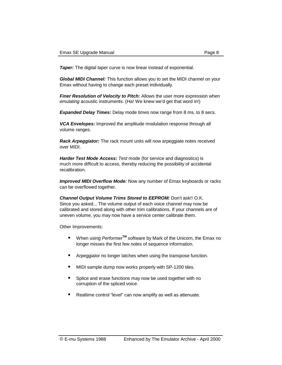**Taper:** The digital taper curve is now linear instead of exponential.

*Global MIDI Channel:* This function allows you to set the MIDI channel on your Emax without having to change each preset individually.

*Finer Resolution of Velocity to Pitch:* Allows the user more expression when *emulating* acoustic instruments. (Ha! We knew we'd get that word in!)

*Expanded Delay Times:* Delay mode times now range from 8 ms. to 8 secs.

*VCA Envelopes:* Improved the amplitude modulation response through all volume ranges.

*Rack Arpeggiator:* The rack mount units will now arpeggiate notes received over MIDI.

*Harder Test Mode Access: Test* mode (for service and diagnostics) is much more difficult to access, thereby reducing the possibility of accidental recalibration.

*Improved MIDI Overflow Mode:* Now any number of Emax keyboards or racks can be overflowed together.

*Channel Output Volume Trims Stored to EEPROM:* Don't ask!! O.K. Since you asked... The volume output of each voice channel may now be calibrated and stored along with other trim calibrations. If your channels are of uneven volume, you may now have a service center calibrate them.

Other Improvements:

- When using *Performer<sup>TM</sup>* software by Mark of the Unicorn, the Emax no longer misses the first few notes of sequence information.
- **E** Arpeggiator no longer latches when using the transpose function.
- -MIDI sample dump now works properly with SP-1200 tiles.
- -Splice and erase functions may now be used together with no corruption of the spliced voice.
- Realtime control "level" can now amplify as well as attenuate.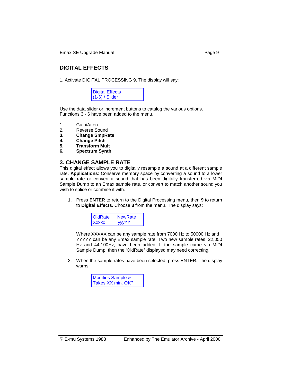### **DIGITAL EFFECTS**

1. Activate DIGITAL PROCESSING 9. The display will say:

| <b>Digital Effects</b> |  |
|------------------------|--|
| $(1-6)$ / Slider       |  |

Use the data slider or increment buttons to catalog the various options. Functions 3 - 6 have been added to the menu.

- 1. Gain/Atten
- 2. Reverse Sound
- **3. Change SmpRate**
- **4. Change Pitch**
- **5. Transform Mult**
- **6. Spectrum Synth**

#### **3. CHANGE SAMPLE RATE**

This digital effect allows you to digitally resample a sound at a different sample rate. **Applications**: Conserve memory space by converting a sound to a lower sample rate or convert a sound that has been digitally transferred via MIDI Sample Dump to an Emax sample rate, or convert to match another sound you wish to splice or combine it with.

1. Press **ENTER** to return to the Digital Processing menu, then **9** to return to **Digital Effects.** Choose **3** from the menu. The display says:



Where XXXXX can be any sample rate from 7000 Hz to 50000 Hz and YYYYY can be any Emax sample rate. Two new sample rates, 22,050 Hz and 44,100Hz, have been added. If the sample came via MIDI Sample Dump, then the 'OldRate" displayed may need correcting.

2. When the sample rates have been selected, press ENTER. The display warns:

| <b>Modifies Sample &amp;</b> |
|------------------------------|
| Takes XX min. OK?            |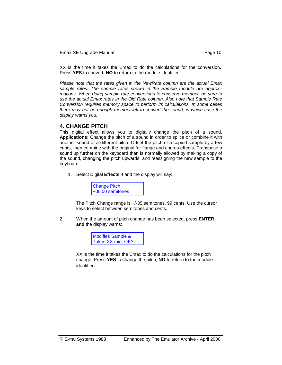XX is the time it takes the Emax to do the calculations for the conversion. Press **YES** to convert**, NO** to return to the module identifier.

*Please note that the rates given in the NewRate column are the actual Emax sample rates. The sample rates shown in the Sample module are approximations. When doing sample rate conversions to conserve memory, be sure to use the actual Emax rates in the Old Rate column. Also note that Sample Rate Conversion requires memory space to perform its calculations. In some cases there may not be enough memory left to convert the sound, in which case the display warns you.* 

#### **4. CHANGE PITCH**

This digital effect allows you to digitally change the pitch of a sound. **Applications:** Change the pitch of a sound in order to splice or combine it with another sound of a different pitch. Offset the pitch of a copied sample by a few cents, then combine with the original for flange and chorus effects. Transpose a sound up further on the keyboard than is normally allowed by making a copy of the sound, changing the pitch upwards, and reassigning the new sample to the keyboard.

1. Select Digital **Effects** 4 and the display will say:



The Pitch Change range is +/-35 semitones, 99 cents. Use the cursor keys to select between semitones and cents.

2. When the amount of pitch change has been selected, press **ENTER and** the display warns:



XX is the time it takes the Emax to do the calculations for the pitch change. Press **YES** to change the pitch, **NO** to return to the module identifier.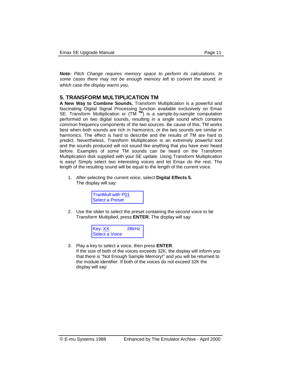*Note: Pitch Change requires memory space to perform its calculations. In some cases there may not be enough memory left to convert the sound, in which case the display warns you.* 

#### **5. TRANSFORM MULTIPLICATION TM**

**A New Way to Combine Sounds.** Transform Multiplication is a powerful and fascinating Digital Signal Processing function available exclusively on Emax SE. Transform Multiplication or (TM **TM**) is a sample-by-sample computation performed on two digital sounds, resulting in a single sound which contains common frequency components of the two sources. Be cause of this, TM works best when both sounds are rich in harmonics, or the two sounds are similar in harmonics. The effect is hard to describe and the results of TM are hard to predict. Nevertheless, Transform Multiplication is an extremely powerful tool and the sounds produced will not sound like anything that you have ever heard before. Examples of some TM sounds can be heard on the Transform Multiplication disk supplied with your SE update. Using Transform Multiplication is easy! Simply select two interesting voices and let Emax do the rest. The length of the resulting sound will be equal to the length of the current voice.

1. After selecting the current voice, select **Digital Effects 5.**  The display will say:



2. Use the slider to select the preset containing the second voice to be Transform Multiplied, press **ENTER.** The display will say:



3. Play a key to select a voice, then press **ENTER**. If the size of both of the voices exceeds 32K, the display will inform you that there is "Not Enough Sample Memory!" and you will be returned to the module identifier. If both of the voices do not exceed 32K the display will say: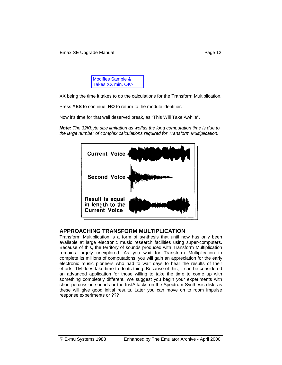

XX being the time it takes to do the calculations for the Transform Multiplication.

Press **YES** to continue, **NO** to return to the module identifier.

Now it's time for that well deserved break, as "This Will Take Awhile".

*Note: The 32Kbyte size limitation as we/las the long computation time is due to the large number of complex calculations required for Transform Multiplication.* 



#### **APPROACHING TRANSFORM MULTIPLICATION**

Transform Multiplication is a form of synthesis that until now has only been available at large electronic music research facilities using super-computers. Because of this, the territory of sounds produced with Transform Multiplication remains largely unexplored. As you wait for Transform Multiplication to complete its millions of computations, you will gain an appreciation for the early electronic music pioneers who had to wait days to hear the results of their efforts. TM does take time to do its thing. Because of this, it can be considered an advanced application for those willing to take the time to come up with something completely different. We suggest you begin your experiments with short percussion sounds or the InstAttacks on the Spectrum Synthesis disk, as these will give good initial results. Later you can move on to room impulse response experiments or ???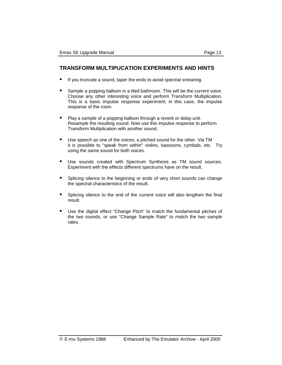#### **TRANSFORM MULTIPUCATION EXPERIMENTS AND HINTS**

- -If you truncate a sound, taper the ends to avoid spectral smearing.
- -Sample a popping balloon in a tiled bathroom. This will be the current voice. Choose any other interesting voice and perform Transform Multiplication. This is a basic impulse response experiment; in this case, the impulse response of the room.
- -Play a sample of a popping balloon through a reverb or delay unit. Resample the resulting sound. Now use this impulse response to perform Transform Multiplication with another sound.
- -Use speech as one of the voices, a pitched sound for the other. Via TM it is possible to "speak from within" violins, bassoons, cymbals, etc. Try using the same sound for both voices.
- -Use sounds created with Spectrum Synthesis as TM sound sources. Experiment with the effects different spectrums have on the result.
- -Splicing silence to the beginning or ends of very short sounds can change the spectral characteristics of the result.
- -Splicing silence to the end of the current voice will also lengthen the final result.
- -Use the digital effect "Change Pitch" to match the fundamental pitches of the two sounds, or use "Change Sample Rate" to match the two sample rates.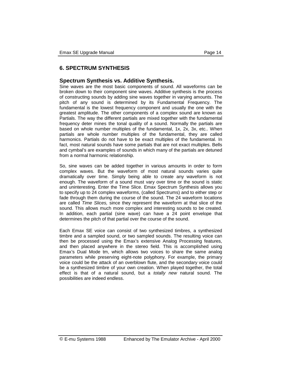#### **6. SPECTRUM SYNTHESIS**

#### **Spectrum Synthesis vs. Additive Synthesis.**

Sine waves are the most basic components of sound. All waveforms can be broken down to their component sine waves. Additive synthesis is the process of constructing sounds by adding sine waves together in varying amounts. The pitch of any sound is determined by its Fundamental Frequency. The fundamental is the lowest frequency component and usually the one with the greatest amplitude. The other components of a complex sound are known as Partials. The way the different partials are mixed together with the fundamental frequency deter mines the tonal quality of a sound. Normally the partials are based on whole number multiples of the fundamental, 1x, 2x, 3x, etc.. When partials are whole number multiples of the fundamental, they are called harmonics. Partials do not have to be exact multiples of the fundamental. In fact, most natural sounds have some partials that are not exact multiples. Bells and cymbal's are examples of sounds in which many of the partials are detuned from a normal harmonic relationship.

So, sine waves can be added together in various amounts in order to form complex waves. But the waveform of most natural sounds varies quite dramatically over time. Simply being able to create any waveform is not enough. The waveform of a sound must vary over time or the sound is static and uninteresting. Enter the Time Slice. Emax Spectrum Synthesis allows you to specify up to 24 complex waveforms, (called Spectrums) and to either step or fade through them during the course of the sound. The 24 waveform locations are called *Time Slices,* since they represent the waveform at that slice of the sound. This allows much more complex and interesting sounds to be created. In addition, each partial (sine wave) can have a 24 point envelope that determines the pitch of that partial over the course of the sound.

Each Emax SE voice can consist of two synthesized timbres, a synthesized timbre and a sampled sound, or two sampled sounds. The resulting voice can then be processed using the Emax's extensive Analog Processing features, and then placed anywhere in the stereo field. This is accomplished using Emax's Dual Mode tm, which allows two voices to share the same analog parameters while preserving eight-note polyphony. For example, the primary voice could be the attack of an overblown flute, and the secondary voice could be a synthesized timbre of your own creation. When played together, the total effect is that of a natural sound, but a *totally new* natural sound. The possibilities are indeed endless.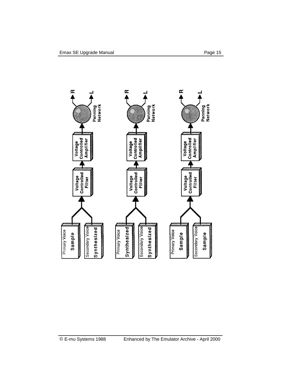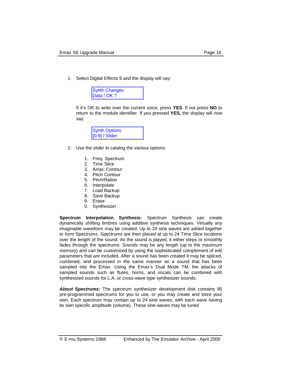1. Select Digital Effects 6 and the display will say:



If it's OK to write over the current voice, press **YES**. If not press **NO** to return to the module identifier. If you pressed **YES,** the display will now say:

| <b>Synth Options</b> |  |
|----------------------|--|
| $[0-9]$ / Slider     |  |

- 2. Use the slider to catalog the various options.
	- 1. Freq. Spectrum
	- 2. Time Slice
	- 3. AmpI. Contour
	- 4. Pitch Contour
	- 5. Pitch/Ratios
	- 6. Interpolate
	- 7. Load Backup
	- 8. Save Backup
	- 9. Erase
	- 0. Synthesize!

**Spectrum Interpolation Synthesis:** Spectrum Synthesis can create dynamically shifting timbres using additive synthesis techniques. Virtually any imaginable waveform may be created. Up to 24 sine waves are added together to form Spectrums. Spectrums are then placed at up to 24 Time Slice locations over the length of the sound. As the sound is played, it either steps or smoothly fades through the spectrums. Sounds may be any length (up to the maximum memory) and can be customized by using the sophisticated complement of edit parameters that are included. After a sound has been created it may be spliced, combined, and processed in the same manner as a sound that has been sampled into the Emax. Using the Emax's Dual Mode TM, the attacks of sampled sounds such as flutes, horns, and vocals can be combined with synthesized sounds for L.A. or cross-wave type synthesizer sounds.

*About Spectrums:* The spectrum synthesizer development disk contains 95 pre-programmed spectrums for you to use, or you may create and store your own. Each spectrum may contain up to 24 sine waves, with each wave having its own specific amplitude (volume). These sine waves may be tuned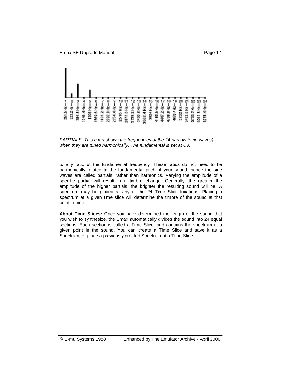

*PARTIALS. This chart shows the frequencies of the 24 partials (sine waves) when they are tuned harmonically. The fundamental is set at C3.* 

to any ratio of the fundamental frequency. These ratios do not need to be harmonically related to the fundamental pitch of your sound; hence the sine waves are called partials, rather than harmonics. Varying the amplitude of a specific partial will result in a timbre change. Generally, the greater the amplitude of the higher partials, the brighter the resulting sound will be. A spectrum may be placed at any of the 24 Time Slice locations. Placing a spectrum at a given time slice will determine the timbre of the sound at that point in time.

**About Time Slices:** Once you have determined the length of the sound that you wish to synthesize, the Emax automatically divides the sound into 24 equal sections. Each section is called a Time Slice, and contains the spectrum at a given point in the sound. You can create a Time Slice and save it as a Spectrum, or place a previously created Spectrum at a Time Slice.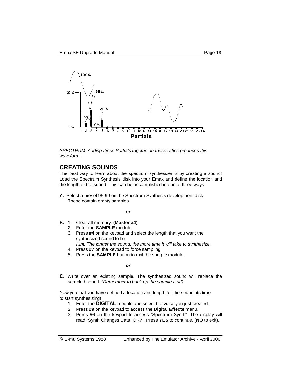

*SPECTRUM. Adding those Partials together in these ratios produces this waveform.* 

#### **CREATING SOUNDS**

The best way to learn about the spectrum synthesizer is by creating a sound! Load the Spectrum Synthesis disk into your Emax and define the location and the length of the sound. This can be accomplished in one of three ways:

**A.** Select a preset 95-99 on the Spectrum Synthesis development disk. These contain empty samples.

#### *<i>or*  $\overline{\phantom{a}}$

- **B.** 1. Clear all memory. **(Master #4)**
	- 2. Enter the **SAMPLE** module.
	- 3. Press **#4** on the keypad and select the length that you want the synthesized sound to be.
		- *Hint: The longer the sound, the more time it will take to synthesize.*
	- 4. Press **#7** on the keypad to force sampling.
	- 5. Press the **SAMPLE** button to exit the sample module.

#### *<u>or</u> or*

**C.** Write over an existing sample. The synthesized sound will replace the sampled sound. *(Remember to back up the sample first!)* 

Now you that you have defined a location and length for the sound, its time to start synthesizing!

- 1. Enter the **DIGITAL** module and select the voice you just created.
- 2. Press **#9** on the keypad to access the **Digital Effects** menu.
- 3. Press **#6** on the keypad to access "Spectrum Synth". The display will read "Synth Changes Data! OK?". Press **YES** to continue. (**NO** to exit).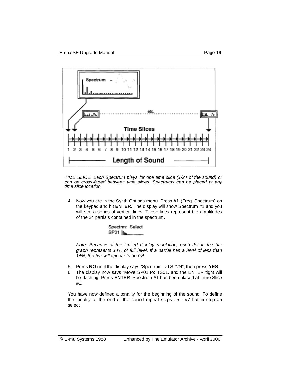

*TIME SLICE. Each Spectrum plays for one time slice (1/24 of the sound) or can be cross-faded between time slices. Spectrums can be placed at any time slice location.* 

4. Now you are in the Synth Options menu. Press **#1** (Freq. Spectrum) on the keypad and hit **ENTER**. The display will show Spectrum #1 and you will see a series of vertical lines. These lines represent the amplitudes of the 24 partials contained in the spectrum.

> Spectrm: Select

 *Note: Because of the limited display resolution, each dot in the bar graph represents 14% of full level. If a partial has a level of less than 14%, the bar will appear to be 0%.* 

- 5. Press **NO** until the display says "Spectrum ->TS Y/N", then press **YES**.
- 6. The display now says "Move SP01 to: TS01, and the ENTER tight will be flashing. Press **ENTER**. Spectrum #1 has been placed at Time Slice #1.

You have now defined a tonality for the beginning of the sound .To define the tonality at the end of the sound repeat steps #5 - #7 but in step #5 select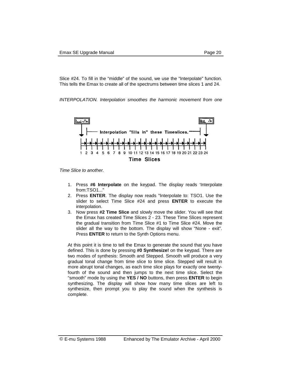Slice #24. To fill in the "middle" of the sound, we use the "Interpolate" function. This tells the Emax to create all of the spectrums between time slices 1 and 24.

*INTERPOLATION. Interpolation smoothes the harmonic movement from one* 



*Time Slice to another.* 

- 1. Press **#6 Interpolate** on the keypad. The display reads 'Interpolate from:TSO1..."
- 2. Press **ENTER**. The display now reads "Interpolate to: TSO1. Use the slider to select Time Slice #24 and press **ENTER** to execute the interpolation.
- 3. Now press **#2 Time Slice** and slowly move the slider. You will see that the Emax has created Time Slices 2 - 23. These Time Slices represent the gradual transition from Time Slice #1 to Time Slice #24. Move the slider all the way to the bottom. The display will show "None - exit". Press **ENTER** to return to the Synth Options menu.

At this point it is time to tell the Emax to generate the sound that you have defined. This is done by pressing **#0 Synthesize!** on the keypad. There are two modes of synthesis: Smooth and Stepped. Smooth will produce a very gradual tonal change from time slice to time slice. Stepped will result in more abrupt tonal changes, as each time slice plays for exactly one twentyfourth of the sound and then jumps to the next time slice. Select the "smooth" mode by using the **YES / NO** buttons, then press **ENTER** to begin synthesizing. The display will show how many time slices are left to synthesize, then prompt you to play the sound when the synthesis is complete.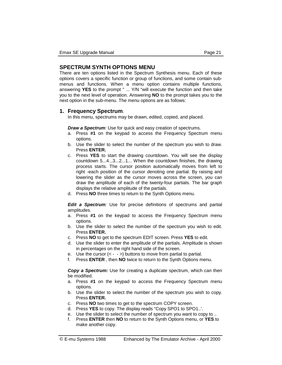#### **SPECTRUM SYNTH OPTIONS MENU**

There are ten options listed in the Spectrum Synthesis menu. Each of these options covers a specific function or group of functions, and some contain submenus and functions. When a menu option contains multiple functions, answering **YES** to the prompt " ... Y/N "will execute the function and then take you to the next level of operation. Answering **NO** to the prompt takes you to the next option in the sub-menu. The menu options are as follows:

#### **1. Frequency Spectrum**.

In this menu, spectrums may be drawn, edited, copied, and placed.

*Draw a Spectrum:* Use for quick and easy creation of spectrums.

- a. Press **#1** on the keypad to access the Frequency Spectrum menu options.
- b. Use the slider to select the number of the spectrum you wish to draw. Press **ENTER.**
- c. Press **YES** to start the drawing countdown. You will see the display countdown 5...4...3...2...1... When the countdown finishes, the drawing process starts. The cursor position automatically moves from left to right -each position of the cursor denoting one partial. By raising and lowering the slider as the cursor moves across the screen, you can draw the amplitude of each of the twenty-four partials. The bar graph displays the relative amplitude of the partials.
- d. Press **NO** three times to return to the Synth Options menu.

*Edit a Spectrum:* Use for precise definitions of spectrums and partial amplitudes.

- a. Press **#1** on the keypad to access the Frequency Spectrum menu options.
- b. Use the slider to select the number of the spectrum you wish to edit. Press **ENTER.**
- c. Press **NO** to get to the spectrum EDIT screen. Press **YES** to edit.
- d. Use the slider to enter the amplitude of the partials. Amplitude is shown in percentages on the right hand side of the screen.
- e. Use the cursor  $(< \rightarrow$   $>$ ) buttons to move from partial to partial.
- f. Press **ENTER** , then **NO** twice to return to the Synth Options menu.

**Copy a Spectrum:** Use for creating a duplicate spectrum, which can then be modified.

- a. Press **#1** on the keypad to access the Frequency Spectrum menu options.
- b. Use the slider to select the number of the spectrum you wish to copy. Press **ENTER.**
- c. Press **NO** two times to get to the spectrum COPY screen.
- d. Press **YES** to copy. The display reads "Copy SPO1 to SPO1..'.
- e. Use the slider to select the number of spectrum you want to copy to ..
- f. Press **ENTER** then **NO** to return to the Synth Options menu, or **YES** to make another copy.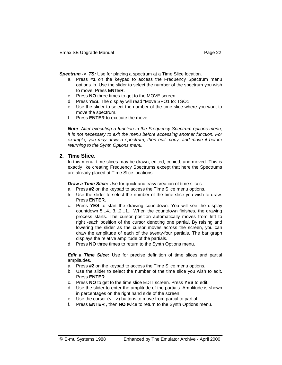**Spectrum -> TS:** Use for placing a spectrum at a Time Slice location.

- a. Press **#1** on the keypad to access the Frequency Spectrum menu options. b. Use the slider to select the number of the spectrum you wish to move. Press **ENTER**.
- c. Press **NO** three times to get to the MOVE screen.
- d. Press **YES.** The display will read "Move SPO1 to: TSO1
- e. Use the slider to select the number of the time slice where you want to move the spectrum.
- f. Press **ENTER** to execute the move.

*Note: After executing a function in the Frequency Spectrum options menu, it is not necessary to exit the menu before accessing another function. For example, you may draw a spectrum, then edit, copy, and move it before returning to the Synth Options menu.* 

#### **2. Time Slice.**

 In this menu, time slices may be drawn, edited, copied, and moved. This is exactly like creating Frequency Spectrums except that here the Spectrums are already placed at Time Slice locations.

*Draw a Time Slice:* Use for quick and easy creation of time slices.

- a. Press **#2** on the keypad to access the Time Slice menu options.
- b. Use the slider to select the number of the time slice you wish to draw. Press **ENTER.**
- c. Press **YES** to start the drawing countdown. You will see the display countdown 5...4...3...2...1... When the countdown finishes, the drawing process starts. The cursor position automatically moves from left to right -each position of the cursor denoting one partial. By raising and lowering the slider as the cursor moves across the screen, you can draw the amplitude of each of the twenty-four partials. The bar graph displays the relative amplitude of the partials.
- d. Press **NO** three times to return to the Synth Options menu.

*Edit a Time Slice:* Use for precise definition of time slices and partial amplitudes.

- a. Press **#2** on the keypad to access the Time Slice menu options.
- b. Use the slider to select the number of the time slice you wish to edit. Press **ENTER.**
- c. Press **NO** to get to the time slice EDIT screen. Press **YES** to edit.
- d. Use the slider to enter the amplitude of the partials. Amplitude is shown in percentages on the right hand side of the screen.
- e. Use the cursor (<- ->) buttons to move from partial to partial.
- f. Press **ENTER** , then **NO** twice to return to the Synth Options menu.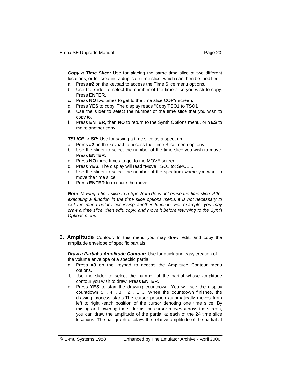*Copy a Time Slice:* Use for placing the same time slice at two different locations, or for creating a duplicate time slice, which can then be modified.

- a. Press **#2** on the keypad to access the Time Slice menu options.
- b. Use the slider to select the number of the time slice you wish to copy. Press **ENTER.**
- c. Press **NO** two times to get to the time slice COPY screen.
- d. Press **YES** to copy. The display reads "Copy TSO1 to TSO1
- e. Use the slider to select the number of the time slice that you wish to copy to.
- f. Press **ENTER**, then **NO** to return to the Synth Options menu, or **YES** to make another copy.

*TSLICE -> SP:* Use for saving a time slice as a spectrum.

- a. Press **#2** on the keypad to access the Time Slice menu options.
- b. Use the slider to select the number of the time slice you wish to move. Press **ENTER.**
- c. Press **NO** three times to get to the MOVE screen.
- d. Press **YES.** The display will read "Move TSO1 to: SPO1 ..
- e. Use the slider to select the number of the spectrum where you want to move the time slice.
- f. Press **ENTER** to execute the move.

*Note: Moving a time slice to a Spectrum does not erase the time slice. After executing a function in the time slice options menu, it is not necessary to exit the menu before accessing another function. For example, you may draw a time slice, then edit, copy, and move it before returning to the Synth Options menu.* 

**3. Amplitude** Contour. In this menu you may draw, edit, and copy the amplitude envelope of specific partials.

*Draw a Partial's Amplitude Contour:* Use for quick and easy creation of the volume envelope of a specific partial.

- a. Press **#3** on the keypad to access the Amplitude Contour menu options.
- b. Use the slider to select the number of the partial whose amplitude contour you wish to draw. Press **ENTER**.
- c. Press **YES** to start the drawing countdown. You will see the display countdown 5. ..4. ..3.. .2... 1 ... When the countdown finishes, the drawing process starts.The cursor position automatically moves from left to right -each position of the cursor denoting one time slice. By raising and lowering the slider as the cursor moves across the screen, you can draw the amplitude of the partial at each of the 24 time slice locations. The bar graph displays the relative amplitude of the partial at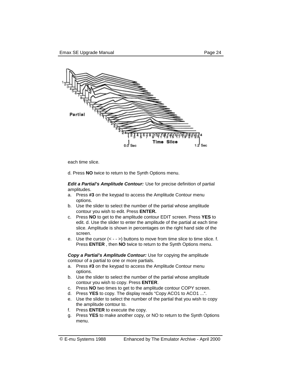

each time slice.

d. Press **NO** twice to return to the Synth Options menu.

*Edit a Partial's Amplitude Contour:* Use for precise definition of partial amplitudes.

- a. Press **#3** on the keypad to access the Amplitude Contour menu options.
- b. Use the slider to select the number of the partial whose amplitude contour you wish to edit. Press **ENTER.**
- c. Press **NO** to get to the amplitude contour EDIT screen. Press **YES** to edit. d. Use the slider to enter the amplitude of the partial at each time slice. Amplitude is shown in percentages on the right hand side of the screen.
- e. Use the cursor  $(< - \frac{1}{2})$  buttons to move from time slice to time slice. f. Press **ENTER** , then **NO** twice to return to the Synth Options menu.

*Copy a Partial's Amplitude Contour:* Use for copying the amplitude contour of a partial to one or more partials.

- a. Press **#3** on the keypad to access the Amplitude Contour menu options.
- b. Use the slider to select the number of the partial whose amplitude contour you wish to copy. Press **ENTER**.
- c. Press **NO** two times to get to the amplitude contour COPY screen.
- d. Press **YES** to copy. The display reads "Copy ACO1 to ACO1 ...".
- e. Use the slider to select the number of the partial that you wish to copy the amplitude contour to.
- f. Press **ENTER** to execute the copy.
- g. Press **YES** to make another copy, or NO to return to the Synth Options menu.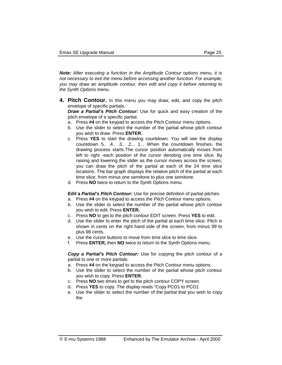*Note: After executing a function in the Amplitude Contour options menu, it is not necessary to exit the menu before accessing another function. For example, you may draw an amplitude contour, then edit and copy it before returning to the Synth Options menu.* 

**4. Pitch Contour.** In this menu you may draw, edit, and copy the pitch envelope of specific partials.

*Draw a Partial's Pitch Contour:* Use for quick and easy creation of the pitch envelope of a specific partial.

- a. Press **#4** on the keypad to access the Pitch Contour menu options.
- b. Use the slider to select the number of the partial whose pitch contour you wish to draw. Press **ENTER.**
- c. Press **YES** to start the drawing countdown. You will see the display countdown 5.. .4.. .3.. .2... 1... When the countdown finishes, the drawing process starts.The cursor position automatically moves from left to right -each position of the cursor denoting one time slice. By raising and lowering the slider as the cursor moves across the screen, you can draw the pitch of the partial at each of the 24 time slice locations. The bar graph displays the relative pitch of the partial at each time slice, from minus one semitone to plus one semitone.
- d. Press **NO** twice to return to the Synth Options menu.

*Edit a Partial's Pitch Contour:* Use for precise definition of partial pitches.

- a. Press **#4** on the keypad to access the Pitch Contour menu options.
- b. Use the slider to select the number of the partial whose pitch contour you wish to edit. Press **ENTER.**
- c. Press **NO** to get to the pitch contour EDIT screen. Press **YES** to edit.
- d. Use the slider to enter the pitch of the partial at each time slice. Pitch is shown in cents on the right hand side of the screen, from minus 99 to plus 98 cents.
- e. Use the cursor buttons to move from time slice to time slice.
- f. Press **ENTER,** then **NO** twice to return to the Synth Options menu.

*Copy a Partial's Pitch Contour:* Use for copying the pitch contour of a partial to one or more partials.

- a. Press **#4** on the keypad to access the Pitch Contour menu options.
- b. Use the slider to select the number of the partial whose pitch contour you wish to copy. Press **ENTER.**
- c. Press **NO** two times to get to the pitch contour COPY screen.
- d. Press **YES** to copy. The display reads "Copy PCO1 to PCO1
- e. Use the slider to select the number of the partial that you wish to copy the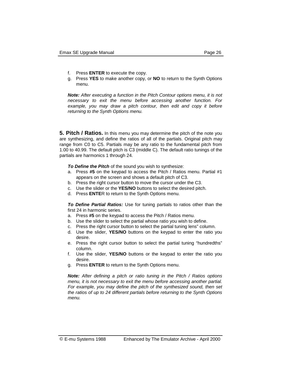- f. Press **ENTER** to execute the copy.
- g. Press **YES** to make another copy, or **NO** to return to the Synth Options menu.

*Note: After executing a function in the Pitch Contour options menu, it is not necessary to exit the menu before accessing another function. For*  example, you may draw a pitch contour, then edit and copy it before *returning to the Synth Options menu.* 

**5. Pitch / Ratios.** In this menu you may determine the pitch of the note you are synthesizing, and define the ratios of all of the partials. Original pitch may range from C0 to C5. Partials may be any ratio to the fundamental pitch from 1.00 to 40.99. The default pitch is C3 (middle C). The default ratio tunings of the partials are harmonics 1 through 24.

*To Define the Pitch* of the sound you wish to synthesize:

- a. Press **#5** on the keypad to access the Pitch / Ratios menu. Partial #1 appears on the screen and shows a default pitch of C3.
- b. Press the right cursor button to move the cursor under the C3.
- c. Use the slider or the **YES/NO** buttons to select the desired pitch.
- d. Press **ENTE**R to return to the Synth Optlons menu.

*To Define Partial Ratios:* Use for tuning partials to ratios other than the first 24 in harmonic series.

- a. Press **#5** on the keypad to access the Pitch / Ratios menu.
- b. Use the slider to select the partial whose ratio you wish to define.
- c. Press the right cursor button to select the partial tuning lens" column.
- d. Use the slider, **YES/NO** buttons on the keypad to enter the ratio you desire.
- e. Press the right cursor button to select the partial tuning "hundredths" column.
- f. Use the slider, **YES/NO** buttons or the keypad to enter the ratio you desire.
- g. Press **ENTER** to return to the Synth Options menu.

*Note: After defining a pitch or ratio tuning in the Pitch / Ratios options menu, it is not necessary to exit the menu before accessing another partial. For example, you may define the pitch of the synthesized sound, then set the ratios of up to 24 different partials before returning to the Synth Options menu.*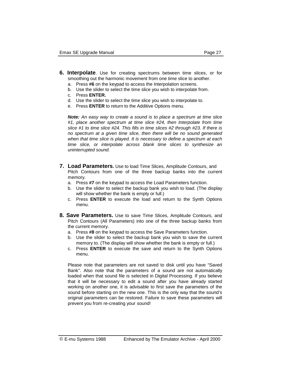- **6. Interpolate**. Use for creating spectrums between time slices, or for smoothing out the harmonic movement from one time slice to another.
	- a. Press **#6** on the keypad to access the Interpolation screens.
	- b. Use the slider to select the time slice you wish to interpolate from.
	- c. Press **ENTER.**
	- d. Use the slider to select the time slice you wish to interpolate to.
	- e. Press **ENTER** to return to the Additive Options menu.

*Note: An easy way to create a sound is to place a spectrum at time slice #1, place another spectrum at time slice #24, then Interpolate from time slice #1 to time slice #24. This fills in time slices #2 through #23. If there is no spectrum at a given time slice, then there will be no sound generated when that time slice is played. It is necessary to define a spectrum at each time slice, or interpolate across blank time slices to synthesize an uninterrupted sound.* 

- **7. Load Parameters.** Use to load Time Slices, Amplitude Contours, and Pitch Contours from one of the three backup banks into the current memory.
	- a. Press **#7** on the keypad to access the Load Parameters function.
	- b. Use the slider to select the backup bank you wish to load. (The display will show whether the bank is empty or full.)
	- c. Press **ENTER** to execute the load and return to the Synth Options menu.
- **8. Save Parameters.** Use to save Time Slices, Amplitude Contours, and Pitch Contours (All Parameters) into one of the three backup banks from the current memory.
	- a. Press **#8** on the keypad to access the Save Parameters function.
	- b. Use the slider to select the backup bank you wish to save the current memory to. (The display will show whether the bank is empty or full.)
	- c. Press **ENTER** to execute the save and return to the Synth Options menu.

Please note that parameters are not saved to disk until you have "Saved Bank". Also note that the parameters of a sound are not automatically loaded when that sound file is selected in Digital Processing. If you believe that it will be necessary to edit a sound after you have already started working on another one, it is advisable to first save the parameters of the sound before starting on the new one. This is the only way that the sound's original parameters can be restored. Failure to save these parameters will prevent you from re-creating your sound!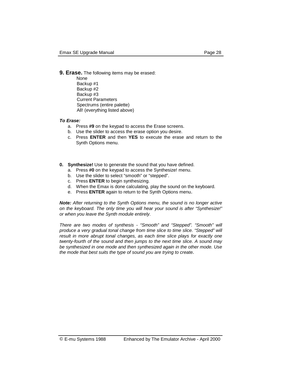#### **9. Erase.** The following items may be erased:

None Backup #1 Backup #2 Backup #3 Current Parameters Spectrums (entire palette) All! (everything listed above)

#### *To Erase:*

- a. Press **#9** on the keypad to access the Erase screens.
- b. Use the slider to access the erase option you desire.
- c. Press **ENTER** and then **YES** to execute the erase and return to the Synth Options menu.
- **0. Synthesize!** Use to generate the sound that you have defined.
	- a. Press **#0** on the keypad to access the Synthesize! menu.
	- b. Use the slider to select "smooth" or "stepped".
	- c. Press **ENTER** to begin synthesizing.
	- d. When the Emax is done calculating, play the sound on the keyboard.
	- e. Press **ENTER** again to return to the Synth Options menu.

*Note: After returning to the Synth Options menu, the sound is no longer active on the keyboard. The only time you will hear your sound is after "Synthesize!" or when you leave the Synth module entirely.* 

*There are two modes of synthesis* - *"Smooth" and "Stepped". "Smooth" will produce a very gradual tonal change from time slice to time slice. "Stepped" will result in more abrupt tonal changes, as each time slice plays for exactly one twenty-fourth of the sound and then jumps to the next time slice. A sound may be synthesized in one mode and then synthesized again in the other mode. Use the mode that best suits the type of sound you are trying to create.*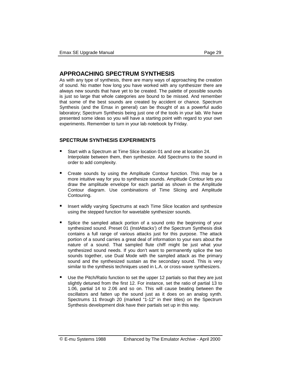#### **APPROACHING SPECTRUM SYNTHESIS**

As with any type of synthesis, there are many ways of approaching the creation of sound. No matter how long you have worked with any synthesizer there are always new sounds that have yet to be created. The palette of possible sounds is just so large that whole categories are bound to be missed. And remember that some of the best sounds are created by accident or chance. Spectrum Synthesis (and the Emax in general) can be thought of as a powerful audio laboratory; Spectrum Synthesis being just one of the tools in your lab. We have presented some ideas so you will have a starting point with regard to your own experiments. Remember to turn in your lab notebook by Friday.

#### **SPECTRUM SYNTHESIS EXPERIMENTS**

- -Start with a Spectrum at Time Slice location 01 and one at location 24. Interpolate between them, then synthesize. Add Spectrums to the sound in order to add complexity.
- -Create sounds by using the Amplitude Contour function. This may be a more intuitive way for you to synthesize sounds. Amplitude Contour lets you draw the amplitude envelope for each partial as shown in the Amplitude Contour diagram. Use combinations of Time Slicing and Amplitude Contouring.
- -Insert wildly varying Spectrums at each Time Slice location and synthesize using the stepped function for wavetable synthesizer sounds.
- -Splice the sampled attack portion of a sound onto the beginning of your synthesized sound. Preset 01 (InstAttacks') of the Spectrum Synthesis disk contains a full range of various attacks just for this purpose. The attack portion of a sound carries a great deal of information to your ears about the nature of a sound. That sampled flute chiff might be just what your synthesized sound needs. If you don't want to permanently splice the two sounds together, use Dual Mode with the sampled attack as the primary sound and the synthesized sustain as the secondary sound. This is very similar to the synthesis techniques used in L.A. or cross-wave synthesizers.
- -Use the Pitch/Ratio function to set the upper 12 partials so that they are just slightly detuned from the first 12. For instance, set the ratio of partial 13 to 1.06, partial 14 to 2.06 and so on. This will cause beating between the oscillators and fatten up the sound just as it does on an analog synth. Spectrums 11 through 20 (marked "1-12" in their titles) on the Spectrum Synthesis development disk have their partials set up in this way.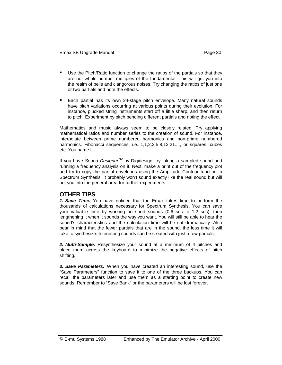- -Use the Pitch/Ratio function to change the ratios of the partials so that they are not whole number multiples of the fundamental. This will get you into the realm of bells and clangorous noises. Try changing the ratios of just one or two partials and note the effects.
- -Each partial has its own 24-stage pitch envelope. Many natural sounds have pitch variations occurring at various points during their evolution. For instance, plucked string instruments start off a little sharp, and then return to pitch. Experiment by pitch bending different partials and noting the effect.

Mathematics and music always seem to be closely related. Try applying mathematical ratios and number series to the creation of sound. For instance, interpolate between prime numbered harmonics and non-prime numbered harmonics. Fibonacci sequences, i.e. 1,1,2,3,5,8,13,21...., or squares, cubes etc. You name it.

If you have *Sound DesignerTM* by Digidesign, try taking a sampled sound and running a frequency analysis on it. Next, make a print out of the frequency plot and try to copy the partial envelopes using the Amplitude Contour function in Spectrum Synthesis. It probably won't sound exactly like the real sound but will put you into the general area for further experiments.

#### **OTHER TIPS**

*1. Save Time.* You have noticed that the Emax takes time to perform the thousands of calculations necessary for Spectrum Synthesis. You can save your valuable time by working on short sounds (0.6 sec to 1.2 sec), then lengthening it when it sounds the way you want. You will still be able to hear the sound's characteristics and the calculation time will be cut dramatically. Also bear in mind that the fewer partials that are in the sound, the less time it will take to synthesize. Interesting sounds can be created with just a few partials.

*2. Multi-Sample.* Resynthesize your sound at a minimum of 4 pitches and place them across the keyboard to minimize the negative effects of pitch shifting.

*3. Save Parameters.* When you have created an interesting sound, use the "Save Parameters" function to save it to one of the three backups. You can recall the parameters later and use them as a starting point to create new sounds. Remember to "Save Bank" or the parameters will be lost forever.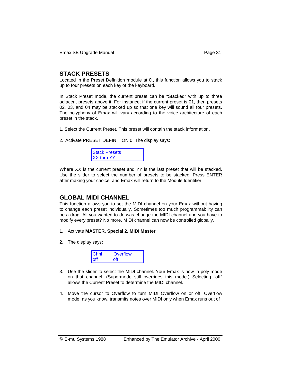#### **STACK PRESETS**

Located in the Preset Definition module at 0., this function allows you to stack up to four presets on each key of the keyboard.

In Stack Preset mode, the current preset can be "Stacked" with up to three adjacent presets above it. For instance; if the current preset is 01, then presets 02, 03, and 04 may be stacked up so that one key will sound all four presets. The polyphony of Emax will vary according to the voice architecture of each preset in the stack.

- 1. Select the Current Preset. This preset will contain the stack information.
- 2. Activate PRESET DEFINITION 0. The display says:



Where XX is the current preset and YY is the last preset that will be stacked. Use the slider to select the number of presets to be stacked. Press ENTER after making your choice, and Emax will return to the Module Identifier.

#### **GLOBAL MIDI CHANNEL**

This function allows you to set the MIDI channel on your Emax without having to change each preset individually. Sometimes too much programmability can be a drag. All you wanted to do was change the MIDI channel and you have to modify every preset? No more. MIDI channel can now be controlled globally.

- 1. Activate **MASTER, Special 2. MIDI Master**.
- 2. The display says:



- 3. Use the slider to select the MIDI channel. Your Emax is now in poly mode on that channel. (Supermode still overrides this mode.) Selecting "off" allows the Current Preset to determine the MIDI channel.
- 4. Move the cursor to Overflow to turn MIDI Overflow on or off. Overflow mode, as you know, transmits notes over MIDI only when Emax runs out of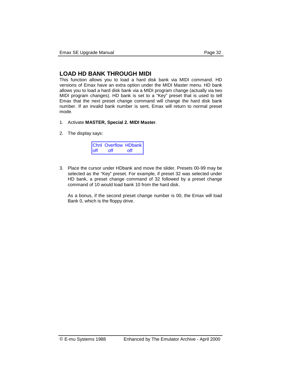#### **LOAD HD BANK THROUGH MIDI**

This function allows you to load a hard disk bank via MIDI command. HD versions of Emax have an extra option under the MIDI Master menu. HD bank allows you to load a hard disk bank via a MIDI program change (actually via two MIDI program changes). HD bank is set to a "Key" preset that is used to tell Emax that the next preset change command will change the hard disk bank number. If an invalid bank number is sent, Emax will return to normal preset mode.

- 1. Activate **MASTER, Special 2. MIDI Master**.
- 2. The display says:

|              | Chnl Overflow HDbank |     |
|--------------|----------------------|-----|
| <b>l</b> off | off                  | off |

3. Place the cursor under HDbank and move the slider. Presets 00-99 may be selected as the "Key" preset. For example, if preset 32 was selected under HD bank, a preset change command of 32 followed by a preset change command of 10 would load bank 10 from the hard disk.

 As a bonus, if the second preset change number is 00, the Emax will load Bank 0, which is the floppy drive.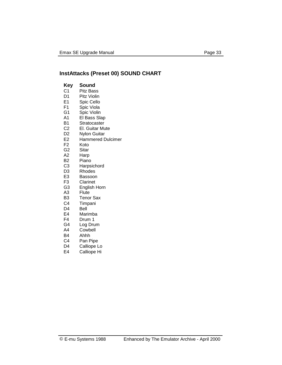## **InstAttacks (Preset 00) SOUND CHART**

| Key            | Sound               |
|----------------|---------------------|
| С1             | Pitz Bass           |
| D <sub>1</sub> | Pitz Violin         |
| E <sub>1</sub> | Spic Cello          |
| F1             | Spic Viola          |
| G1             | Spic Violin         |
| A <sub>1</sub> | El Bass Slap        |
| B1             | Stratocaster        |
| C <sub>2</sub> | El. Guitar Mute     |
| D <sub>2</sub> | <b>Nylon Guitar</b> |
| E <sub>2</sub> | Hammered Dulcimer   |
| F2             | Koto                |
| G <sub>2</sub> | Sitar               |
| A <sub>2</sub> | Harp                |
| B2             | Piano               |
| C <sub>3</sub> | Harpsichord         |
| D <sub>3</sub> | Rhodes              |
| E3             | Bassoon             |
| F3             | Clarinet            |
| G3             | English Horn        |
| A3             | Flute               |
| B3             | <b>Tenor Sax</b>    |
| C4             | Timpani             |
| D4             | Bell                |
| E4             | Marimba             |
| F4             | Drum 1              |
| G4             | Log Drum            |
| A4             | Cowbell             |
| B4             | Ahhh                |
| C4             | Pan Pipe            |
| D4             | Calliope Lo         |
| E4             | Calliope Hi         |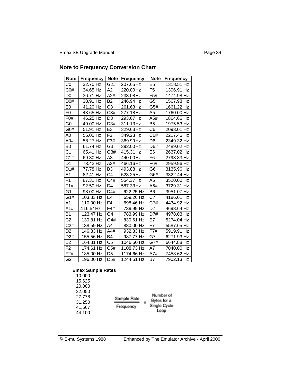## **Note to Frequency Conversion Chart**

| <b>Note</b>      | <b>Frequency</b> | <b>Note</b>      | <b>Frequency</b> | <b>Note</b>    | <b>Frequency</b> |
|------------------|------------------|------------------|------------------|----------------|------------------|
| C <sub>0</sub>   | 32.70 Hz         | G2#              | 207.65Hz         | E <sub>5</sub> | 1318.51 Hz       |
| CO#              | 34.65 Hz         | A <sub>2</sub>   | 220.00Hz         | F <sub>5</sub> | 1396.91 Hz       |
| D <sub>0</sub>   | 36.71 Hz         | A2#              | 233.08Hz         | F5#            | 1474.98 Hz       |
| D0#              | 38.91 Hz         | <b>B2</b>        | 246.94Hz         | G <sub>5</sub> | 1567.98 Hz       |
| E0               | 41.20 Hz         | C <sub>3</sub>   | 261.63Hz         | G5#            | 1661.22 Hz       |
| F <sub>0</sub>   | 43.65 Hz         | C3#              | 277.18Hz         | A5             | 1760.00 Hz       |
| F <sub>0</sub> # | 46.25 Hz         | D <sub>3</sub>   | 293.67Hz         | A5#            | 1864.66 Hz       |
| G0               | 49.00 Hz         | D3#              | 311.13Hz         | B <sub>5</sub> | 1975.53 Hz       |
| G0#              | 51.91 Hz         | E <sub>3</sub>   | 329.63Hz         | C <sub>6</sub> | 2093.01 Hz       |
| A0               | 55.00 Hz         | F <sub>3</sub>   | 349.23Hz         | C6#            | 2217.46 Hz       |
| A0#              | 58.27 Hz         | F3#              | 369.99Hz         | D <sub>6</sub> | 2349.32 Hz       |
| B <sub>0</sub>   | 61.74 Hz         | G <sub>3</sub>   | 392.00Hz         | D6#            | 2489.02 Hz       |
| C <sub>1</sub>   | 65.41 Hz         | G3#              | 415.31Hz         | E <sub>6</sub> | 2637.02 Hz       |
| C1#              | 69.30 Hz         | A <sub>3</sub>   | 440.00Hz         | F <sub>6</sub> | 2793.83 Hz       |
| D <sub>1</sub>   | 73.42 Hz         | A3#              | 466.16Hz         | F6#            | 2959.96 Hz       |
| D1#              | 77.78 Hz         | B <sub>3</sub>   | 493.88Hz         | G <sub>6</sub> | 3135.96 Hz       |
| E <sub>1</sub>   | 82.41 Hz         | C <sub>4</sub>   | 523.25Hz         | G6#            | 3322.44 Hz       |
| F <sub>1</sub>   | 87.31 Hz         | C4#              | 554.37Hz         | A <sub>6</sub> | 3520.00 Hz       |
| F1#              | 92.50 Hz         | D <sub>4</sub>   | 587.33Hz         | A6#            | 3729.31 Hz       |
| G1               | 98.00 Hz         | D4#              | 622.25 Hz        | B <sub>6</sub> | 3951.07 Hz       |
| G1#              | 103.83 Hz        | E <sub>4</sub>   | 659.26 Hz        | C7             | 4186.01 Hz       |
| A <sub>1</sub>   | 110.00 Hz        | F4               | 698.46 Hz        | C7#            | 4434.92 Hz       |
| A1#              | .116.54Hz        | F4#              | 739.99 Hz        | D7             | 4698.64 Hz       |
| <b>B1</b>        | 123.47 Hz        | G4               | 783.99 Hz        | D7#            | 4978.03 Hz       |
| $\overline{C2}$  | 130.81 Hz        | G4#              | 830.61 Hz        | E7             | 5274.04 Hz       |
| C2#              | 138.59 Hz        | A4               | 880.00 Hz        | F7             | 5587.65 Hz       |
| D <sub>2</sub>   | 146.83 Hz        | A4#              | 932.33 Hz        | F7#            | 5919.91 Hz       |
| D <sub>2</sub> # | 155.56 Hz        | <b>B4</b>        | 987.77 Hz        | G7             | 6271.93 Hz       |
| E <sub>2</sub>   | 164.81 Hz        | C <sub>5</sub>   | 1046.50 Hz       | G7#            | 6644.88 Hz       |
| F <sub>2</sub>   | 174.61 Hz        | C5#              | 1108.73 Hz       | A7             | 7040.00 Hz       |
| F2#              | 185.00 Hz        | D <sub>5</sub>   | 1174.66 Hz       | A7#            | 7458.62 Hz       |
| G <sub>2</sub>   | 196.00 Hz        | D <sub>5</sub> # | 1244.51 Hz       | <b>B7</b>      | 7902.13 Hz       |

#### **Emax Sample Rates**

| Sample Rate<br>Frequency | Number of<br>Bytes for a<br>Single Cycle<br>Loop |
|--------------------------|--------------------------------------------------|
|                          |                                                  |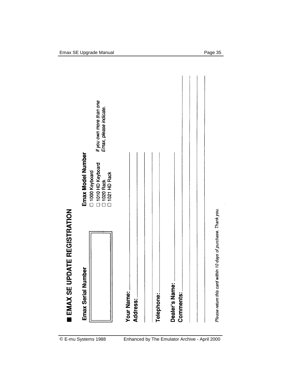| <b>EMAX SE UPDATE REGISTRATION</b>                             |                                                                                           |                                                     |
|----------------------------------------------------------------|-------------------------------------------------------------------------------------------|-----------------------------------------------------|
| Emax Serial Number                                             | Emax Model Number<br>1010 HD Keyboard<br>□ 1000 Keyboard<br>□ 1020 Rack<br>□ 1021 HD Rack | If you own more than one<br>Ernax, please indicate. |
| Your Name:<br>Address:                                         |                                                                                           |                                                     |
| Telephone:                                                     |                                                                                           |                                                     |
| Dealer's Name:<br>Comments:                                    |                                                                                           |                                                     |
|                                                                |                                                                                           |                                                     |
| Please return this card within 10 days of purchase. Thank you. |                                                                                           |                                                     |